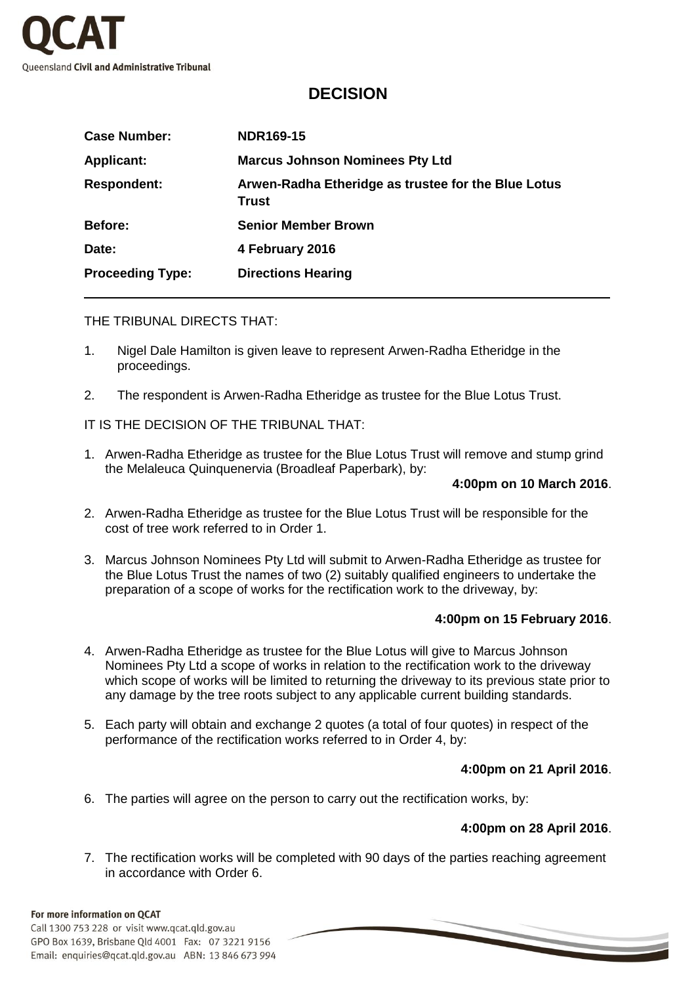

# **DECISION**

| <b>Case Number:</b>     | <b>NDR169-15</b>                                             |
|-------------------------|--------------------------------------------------------------|
| <b>Applicant:</b>       | <b>Marcus Johnson Nominees Pty Ltd</b>                       |
| <b>Respondent:</b>      | Arwen-Radha Etheridge as trustee for the Blue Lotus<br>Trust |
| Before:                 | <b>Senior Member Brown</b>                                   |
| Date:                   | 4 February 2016                                              |
| <b>Proceeding Type:</b> | <b>Directions Hearing</b>                                    |

#### THE TRIBUNAL DIRECTS THAT:

- 1. Nigel Dale Hamilton is given leave to represent Arwen-Radha Etheridge in the proceedings.
- 2. The respondent is Arwen-Radha Etheridge as trustee for the Blue Lotus Trust.

IT IS THE DECISION OF THE TRIBUNAL THAT:

1. Arwen-Radha Etheridge as trustee for the Blue Lotus Trust will remove and stump grind the Melaleuca Quinquenervia (Broadleaf Paperbark), by:

#### **4:00pm on 10 March 2016**.

- 2. Arwen-Radha Etheridge as trustee for the Blue Lotus Trust will be responsible for the cost of tree work referred to in Order 1.
- 3. Marcus Johnson Nominees Pty Ltd will submit to Arwen-Radha Etheridge as trustee for the Blue Lotus Trust the names of two (2) suitably qualified engineers to undertake the preparation of a scope of works for the rectification work to the driveway, by:

# **4:00pm on 15 February 2016**.

- 4. Arwen-Radha Etheridge as trustee for the Blue Lotus will give to Marcus Johnson Nominees Pty Ltd a scope of works in relation to the rectification work to the driveway which scope of works will be limited to returning the driveway to its previous state prior to any damage by the tree roots subject to any applicable current building standards.
- 5. Each party will obtain and exchange 2 quotes (a total of four quotes) in respect of the performance of the rectification works referred to in Order 4, by:

# **4:00pm on 21 April 2016**.

6. The parties will agree on the person to carry out the rectification works, by:

# **4:00pm on 28 April 2016**.

7. The rectification works will be completed with 90 days of the parties reaching agreement in accordance with Order 6.

#### For more information on QCAT

Call 1300 753 228 or visit www.qcat.qld.gov.au GPO Box 1639, Brisbane Qld 4001 Fax: 07 3221 9156 Email: enquiries@qcat.qld.gov.au ABN: 13 846 673 994